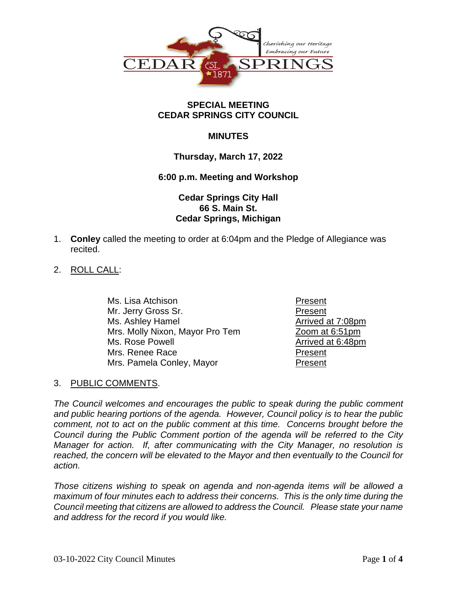

#### **SPECIAL MEETING CEDAR SPRINGS CITY COUNCIL**

## **MINUTES**

### **Thursday, March 17, 2022**

#### **6:00 p.m. Meeting and Workshop**

## **Cedar Springs City Hall 66 S. Main St. Cedar Springs, Michigan**

- 1. **Conley** called the meeting to order at 6:04pm and the Pledge of Allegiance was recited.
- 2. ROLL CALL:

Ms. Lisa Atchison **Present** Mr. Jerry Gross Sr. No. 2006 1997 1998 Present Ms. Ashley Hamel Arrived at 7:08pm Mrs. Molly Nixon, Mayor Pro Tem Zoom at 6:51pm Ms. Rose Powell **Arrived** at 6:48pm Mrs. Renee Race **Present** Mrs. Pamela Conley, Mayor **Present** 

#### 3. PUBLIC COMMENTS.

*The Council welcomes and encourages the public to speak during the public comment and public hearing portions of the agenda. However, Council policy is to hear the public comment, not to act on the public comment at this time. Concerns brought before the Council during the Public Comment portion of the agenda will be referred to the City Manager for action. If, after communicating with the City Manager, no resolution is reached, the concern will be elevated to the Mayor and then eventually to the Council for action.*

*Those citizens wishing to speak on agenda and non-agenda items will be allowed a maximum of four minutes each to address their concerns. This is the only time during the Council meeting that citizens are allowed to address the Council. Please state your name and address for the record if you would like.*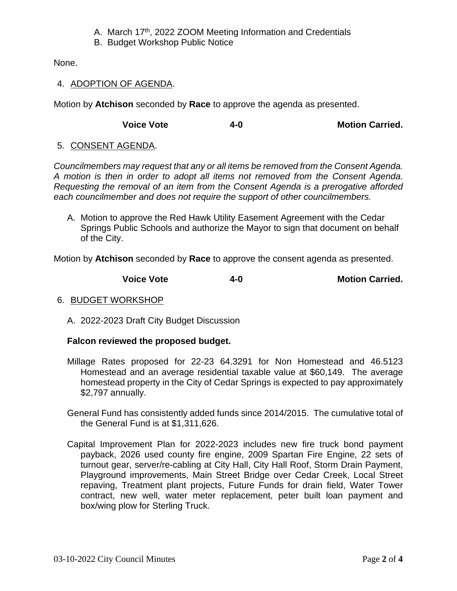- A. March 17<sup>th</sup>, 2022 ZOOM Meeting Information and Credentials
- B. Budget Workshop Public Notice

None.

# 4. ADOPTION OF AGENDA.

Motion by **Atchison** seconded by **Race** to approve the agenda as presented.

**Voice Vote 4-0 Motion Carried.**

## 5. CONSENT AGENDA.

*Councilmembers may request that any or all items be removed from the Consent Agenda. A motion is then in order to adopt all items not removed from the Consent Agenda. Requesting the removal of an item from the Consent Agenda is a prerogative afforded each councilmember and does not require the support of other councilmembers.*

A. Motion to approve the Red Hawk Utility Easement Agreement with the Cedar Springs Public Schools and authorize the Mayor to sign that document on behalf of the City.

Motion by **Atchison** seconded by **Race** to approve the consent agenda as presented.

**Voice Vote 4-0 Motion Carried.**

## 6. BUDGET WORKSHOP

A. 2022-2023 Draft City Budget Discussion

## **Falcon reviewed the proposed budget.**

- Millage Rates proposed for 22-23 64.3291 for Non Homestead and 46.5123 Homestead and an average residential taxable value at \$60,149. The average homestead property in the City of Cedar Springs is expected to pay approximately \$2,797 annually.
- General Fund has consistently added funds since 2014/2015. The cumulative total of the General Fund is at \$1,311,626.
- Capital Improvement Plan for 2022-2023 includes new fire truck bond payment payback, 2026 used county fire engine, 2009 Spartan Fire Engine, 22 sets of turnout gear, server/re-cabling at City Hall, City Hall Roof, Storm Drain Payment, Playground improvements, Main Street Bridge over Cedar Creek, Local Street repaving, Treatment plant projects, Future Funds for drain field, Water Tower contract, new well, water meter replacement, peter built loan payment and box/wing plow for Sterling Truck.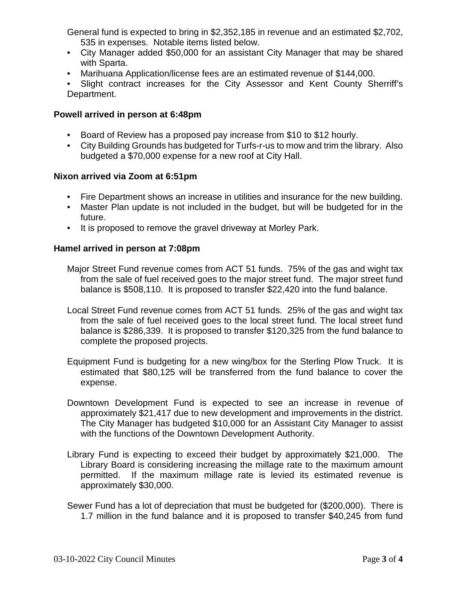General fund is expected to bring in \$2,352,185 in revenue and an estimated \$2,702, 535 in expenses. Notable items listed below.

- City Manager added \$50,000 for an assistant City Manager that may be shared with Sparta.
- Marihuana Application/license fees are an estimated revenue of \$144,000.
- Slight contract increases for the City Assessor and Kent County Sherriff's Department.

#### **Powell arrived in person at 6:48pm**

- Board of Review has a proposed pay increase from \$10 to \$12 hourly.
- City Building Grounds has budgeted for Turfs-r-us to mow and trim the library. Also budgeted a \$70,000 expense for a new roof at City Hall.

#### **Nixon arrived via Zoom at 6:51pm**

- Fire Department shows an increase in utilities and insurance for the new building.
- Master Plan update is not included in the budget, but will be budgeted for in the future.
- It is proposed to remove the gravel driveway at Morley Park.

#### **Hamel arrived in person at 7:08pm**

- Major Street Fund revenue comes from ACT 51 funds. 75% of the gas and wight tax from the sale of fuel received goes to the major street fund. The major street fund balance is \$508,110. It is proposed to transfer \$22,420 into the fund balance.
- Local Street Fund revenue comes from ACT 51 funds. 25% of the gas and wight tax from the sale of fuel received goes to the local street fund. The local street fund balance is \$286,339. It is proposed to transfer \$120,325 from the fund balance to complete the proposed projects.
- Equipment Fund is budgeting for a new wing/box for the Sterling Plow Truck. It is estimated that \$80,125 will be transferred from the fund balance to cover the expense.
- Downtown Development Fund is expected to see an increase in revenue of approximately \$21,417 due to new development and improvements in the district. The City Manager has budgeted \$10,000 for an Assistant City Manager to assist with the functions of the Downtown Development Authority.
- Library Fund is expecting to exceed their budget by approximately \$21,000. The Library Board is considering increasing the millage rate to the maximum amount permitted. If the maximum millage rate is levied its estimated revenue is approximately \$30,000.
- Sewer Fund has a lot of depreciation that must be budgeted for (\$200,000). There is 1.7 million in the fund balance and it is proposed to transfer \$40,245 from fund